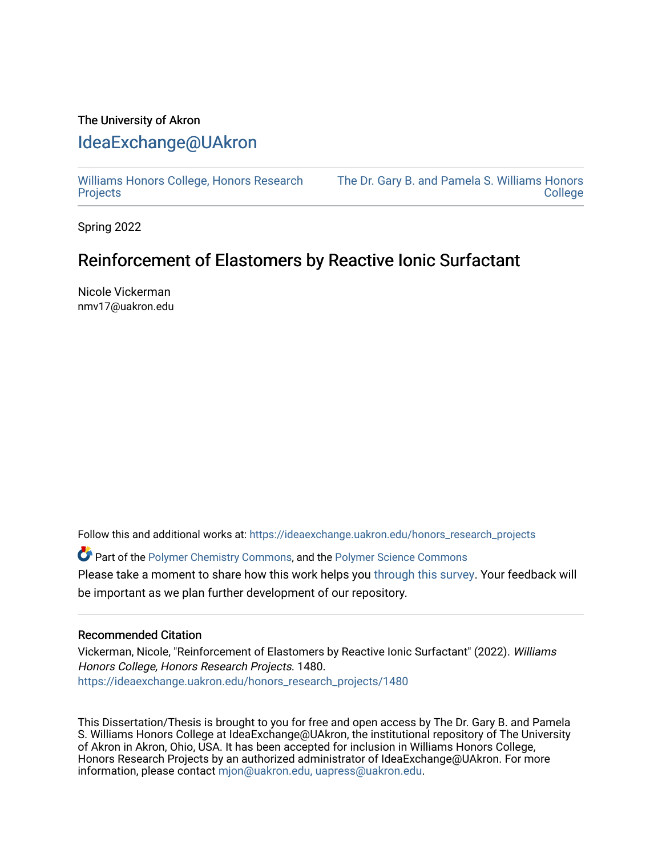# The University of Akron [IdeaExchange@UAkron](https://ideaexchange.uakron.edu/)

[Williams Honors College, Honors Research](https://ideaexchange.uakron.edu/honors_research_projects)  **[Projects](https://ideaexchange.uakron.edu/honors_research_projects)** 

[The Dr. Gary B. and Pamela S. Williams Honors](https://ideaexchange.uakron.edu/honorscollege_ideas)  [College](https://ideaexchange.uakron.edu/honorscollege_ideas) 

Spring 2022

# Reinforcement of Elastomers by Reactive Ionic Surfactant

Nicole Vickerman nmv17@uakron.edu

Follow this and additional works at: [https://ideaexchange.uakron.edu/honors\\_research\\_projects](https://ideaexchange.uakron.edu/honors_research_projects?utm_source=ideaexchange.uakron.edu%2Fhonors_research_projects%2F1480&utm_medium=PDF&utm_campaign=PDFCoverPages) 

Part of the [Polymer Chemistry Commons,](http://network.bepress.com/hgg/discipline/140?utm_source=ideaexchange.uakron.edu%2Fhonors_research_projects%2F1480&utm_medium=PDF&utm_campaign=PDFCoverPages) and the [Polymer Science Commons](http://network.bepress.com/hgg/discipline/246?utm_source=ideaexchange.uakron.edu%2Fhonors_research_projects%2F1480&utm_medium=PDF&utm_campaign=PDFCoverPages)  Please take a moment to share how this work helps you [through this survey](http://survey.az1.qualtrics.com/SE/?SID=SV_eEVH54oiCbOw05f&URL=https://ideaexchange.uakron.edu/honors_research_projects/1480). Your feedback will be important as we plan further development of our repository.

### Recommended Citation

Vickerman, Nicole, "Reinforcement of Elastomers by Reactive Ionic Surfactant" (2022). Williams Honors College, Honors Research Projects. 1480. [https://ideaexchange.uakron.edu/honors\\_research\\_projects/1480](https://ideaexchange.uakron.edu/honors_research_projects/1480?utm_source=ideaexchange.uakron.edu%2Fhonors_research_projects%2F1480&utm_medium=PDF&utm_campaign=PDFCoverPages) 

This Dissertation/Thesis is brought to you for free and open access by The Dr. Gary B. and Pamela S. Williams Honors College at IdeaExchange@UAkron, the institutional repository of The University of Akron in Akron, Ohio, USA. It has been accepted for inclusion in Williams Honors College, Honors Research Projects by an authorized administrator of IdeaExchange@UAkron. For more information, please contact [mjon@uakron.edu, uapress@uakron.edu.](mailto:mjon@uakron.edu,%20uapress@uakron.edu)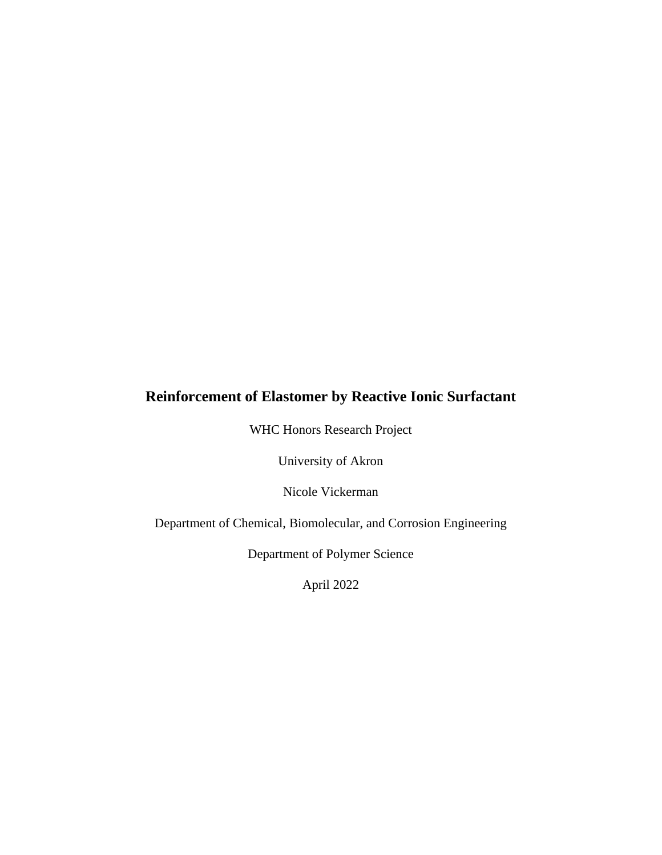# **Reinforcement of Elastomer by Reactive Ionic Surfactant**

WHC Honors Research Project

University of Akron

Nicole Vickerman

Department of Chemical, Biomolecular, and Corrosion Engineering

Department of Polymer Science

April 2022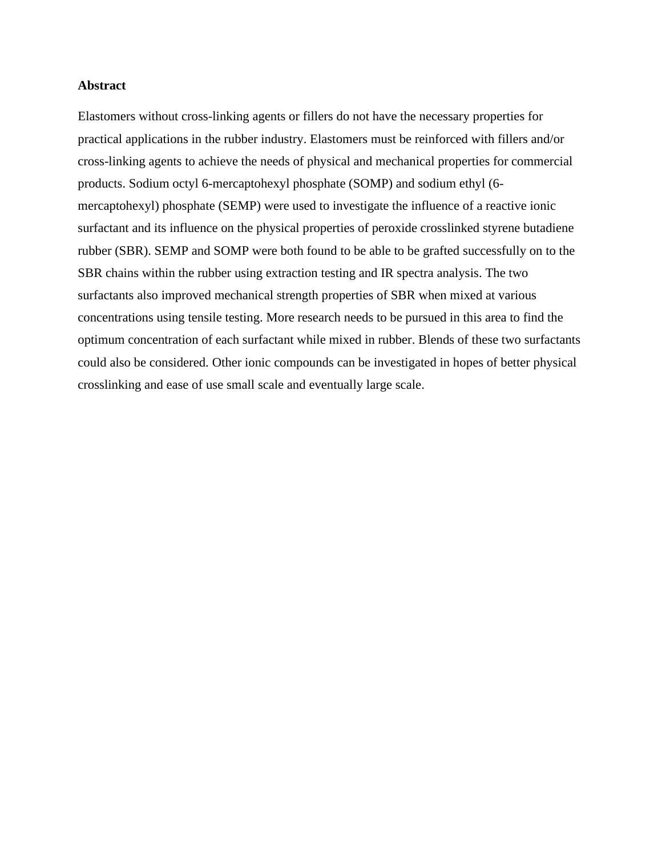### **Abstract**

Elastomers without cross-linking agents or fillers do not have the necessary properties for practical applications in the rubber industry. Elastomers must be reinforced with fillers and/or cross-linking agents to achieve the needs of physical and mechanical properties for commercial products. Sodium octyl 6-mercaptohexyl phosphate (SOMP) and sodium ethyl (6 mercaptohexyl) phosphate (SEMP) were used to investigate the influence of a reactive ionic surfactant and its influence on the physical properties of peroxide crosslinked styrene butadiene rubber (SBR). SEMP and SOMP were both found to be able to be grafted successfully on to the SBR chains within the rubber using extraction testing and IR spectra analysis. The two surfactants also improved mechanical strength properties of SBR when mixed at various concentrations using tensile testing. More research needs to be pursued in this area to find the optimum concentration of each surfactant while mixed in rubber. Blends of these two surfactants could also be considered. Other ionic compounds can be investigated in hopes of better physical crosslinking and ease of use small scale and eventually large scale.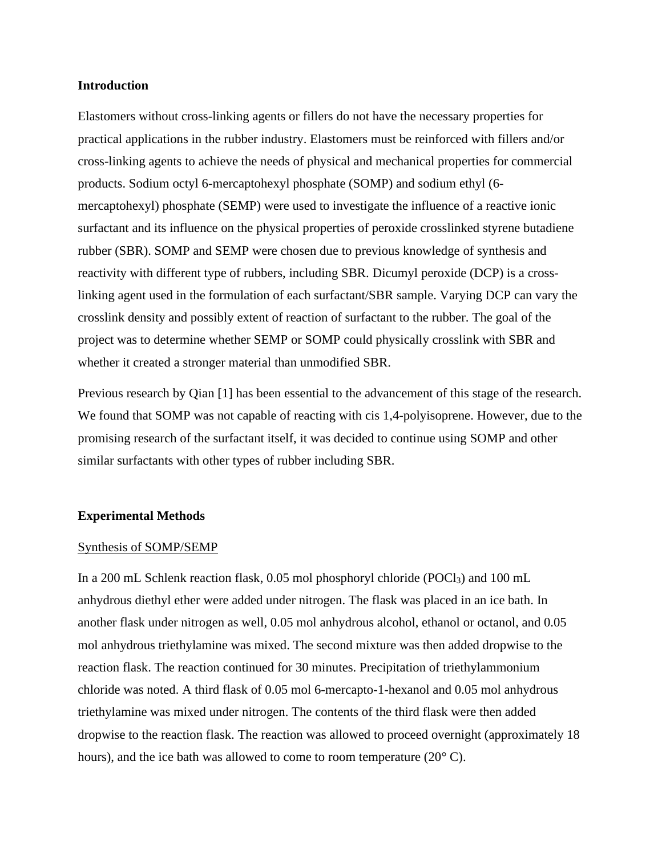### **Introduction**

Elastomers without cross-linking agents or fillers do not have the necessary properties for practical applications in the rubber industry. Elastomers must be reinforced with fillers and/or cross-linking agents to achieve the needs of physical and mechanical properties for commercial products. Sodium octyl 6-mercaptohexyl phosphate (SOMP) and sodium ethyl (6 mercaptohexyl) phosphate (SEMP) were used to investigate the influence of a reactive ionic surfactant and its influence on the physical properties of peroxide crosslinked styrene butadiene rubber (SBR). SOMP and SEMP were chosen due to previous knowledge of synthesis and reactivity with different type of rubbers, including SBR. Dicumyl peroxide (DCP) is a crosslinking agent used in the formulation of each surfactant/SBR sample. Varying DCP can vary the crosslink density and possibly extent of reaction of surfactant to the rubber. The goal of the project was to determine whether SEMP or SOMP could physically crosslink with SBR and whether it created a stronger material than unmodified SBR.

Previous research by Qian [1] has been essential to the advancement of this stage of the research. We found that SOMP was not capable of reacting with cis 1,4-polyisoprene. However, due to the promising research of the surfactant itself, it was decided to continue using SOMP and other similar surfactants with other types of rubber including SBR.

#### **Experimental Methods**

#### Synthesis of SOMP/SEMP

In a 200 mL Schlenk reaction flask, 0.05 mol phosphoryl chloride (POCl<sub>3</sub>) and 100 mL anhydrous diethyl ether were added under nitrogen. The flask was placed in an ice bath. In another flask under nitrogen as well, 0.05 mol anhydrous alcohol, ethanol or octanol, and 0.05 mol anhydrous triethylamine was mixed. The second mixture was then added dropwise to the reaction flask. The reaction continued for 30 minutes. Precipitation of triethylammonium chloride was noted. A third flask of 0.05 mol 6-mercapto-1-hexanol and 0.05 mol anhydrous triethylamine was mixed under nitrogen. The contents of the third flask were then added dropwise to the reaction flask. The reaction was allowed to proceed overnight (approximately 18 hours), and the ice bath was allowed to come to room temperature (20° C).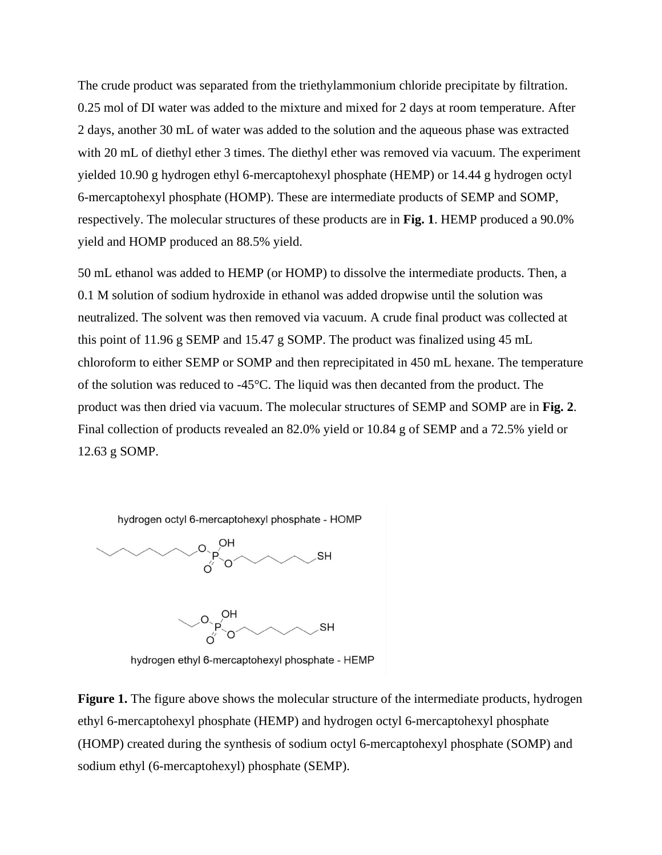The crude product was separated from the triethylammonium chloride precipitate by filtration. 0.25 mol of DI water was added to the mixture and mixed for 2 days at room temperature. After 2 days, another 30 mL of water was added to the solution and the aqueous phase was extracted with 20 mL of diethyl ether 3 times. The diethyl ether was removed via vacuum. The experiment yielded 10.90 g hydrogen ethyl 6-mercaptohexyl phosphate (HEMP) or 14.44 g hydrogen octyl 6-mercaptohexyl phosphate (HOMP). These are intermediate products of SEMP and SOMP, respectively. The molecular structures of these products are in **Fig. 1**. HEMP produced a 90.0% yield and HOMP produced an 88.5% yield.

50 mL ethanol was added to HEMP (or HOMP) to dissolve the intermediate products. Then, a 0.1 M solution of sodium hydroxide in ethanol was added dropwise until the solution was neutralized. The solvent was then removed via vacuum. A crude final product was collected at this point of 11.96 g SEMP and 15.47 g SOMP. The product was finalized using 45 mL chloroform to either SEMP or SOMP and then reprecipitated in 450 mL hexane. The temperature of the solution was reduced to -45°C. The liquid was then decanted from the product. The product was then dried via vacuum. The molecular structures of SEMP and SOMP are in **Fig. 2**. Final collection of products revealed an 82.0% yield or 10.84 g of SEMP and a 72.5% yield or 12.63 g SOMP.

hydrogen octyl 6-mercaptohexyl phosphate - HOMP



 $O \searrow 0$ H **SH** 

hydrogen ethyl 6-mercaptohexyl phosphate - HEMP

**Figure 1.** The figure above shows the molecular structure of the intermediate products, hydrogen ethyl 6-mercaptohexyl phosphate (HEMP) and hydrogen octyl 6-mercaptohexyl phosphate (HOMP) created during the synthesis of sodium octyl 6-mercaptohexyl phosphate (SOMP) and sodium ethyl (6-mercaptohexyl) phosphate (SEMP).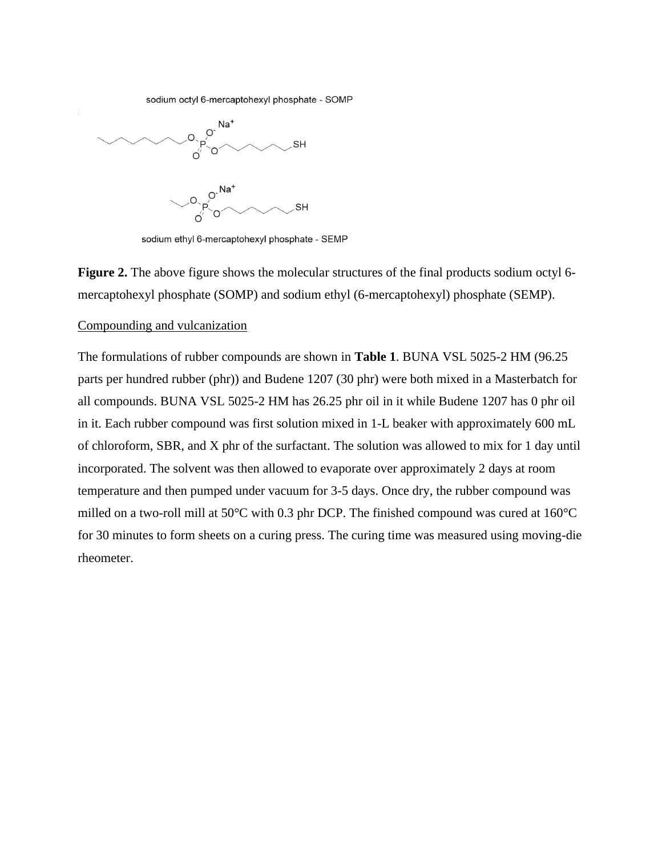sodium octyl 6-mercaptohexyl phosphate - SOMP



sodium ethyl 6-mercaptohexyl phosphate - SEMP

**Figure 2.** The above figure shows the molecular structures of the final products sodium octyl 6mercaptohexyl phosphate (SOMP) and sodium ethyl (6-mercaptohexyl) phosphate (SEMP).

#### Compounding and vulcanization

The formulations of rubber compounds are shown in **Table 1**. BUNA VSL 5025-2 HM (96.25 parts per hundred rubber (phr)) and Budene 1207 (30 phr) were both mixed in a Masterbatch for all compounds. BUNA VSL 5025-2 HM has 26.25 phr oil in it while Budene 1207 has 0 phr oil in it. Each rubber compound was first solution mixed in 1-L beaker with approximately 600 mL of chloroform, SBR, and X phr of the surfactant. The solution was allowed to mix for 1 day until incorporated. The solvent was then allowed to evaporate over approximately 2 days at room temperature and then pumped under vacuum for 3-5 days. Once dry, the rubber compound was milled on a two-roll mill at 50°C with 0.3 phr DCP. The finished compound was cured at 160°C for 30 minutes to form sheets on a curing press. The curing time was measured using moving-die rheometer.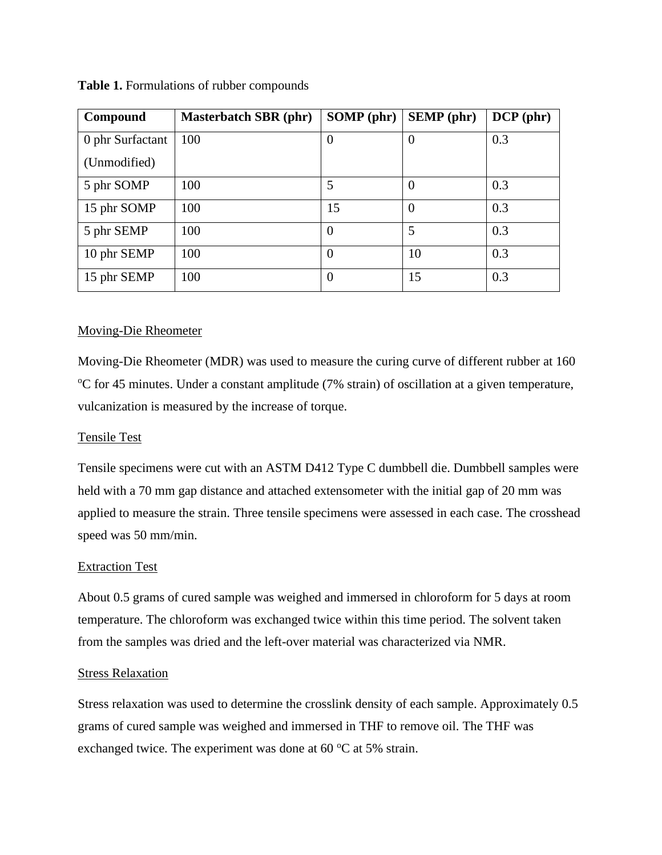| Compound         | <b>Masterbatch SBR (phr)</b> | <b>SOMP</b> (phr) | <b>SEMP</b> (phr) | $DCP$ (phr) |
|------------------|------------------------------|-------------------|-------------------|-------------|
| 0 phr Surfactant | 100                          | $\theta$          | $\theta$          | 0.3         |
| (Unmodified)     |                              |                   |                   |             |
| 5 phr SOMP       | 100                          | 5                 | $\theta$          | 0.3         |
| 15 phr SOMP      | 100                          | 15                | $\Omega$          | 0.3         |
| 5 phr SEMP       | 100                          | $\overline{0}$    | 5                 | 0.3         |
| 10 phr SEMP      | 100                          | $\boldsymbol{0}$  | 10                | 0.3         |
| 15 phr SEMP      | 100                          | $\theta$          | 15                | 0.3         |

**Table 1.** Formulations of rubber compounds

## Moving-Die Rheometer

Moving-Die Rheometer (MDR) was used to measure the curing curve of different rubber at 160 <sup>o</sup>C for 45 minutes. Under a constant amplitude (7% strain) of oscillation at a given temperature, vulcanization is measured by the increase of torque.

## Tensile Test

Tensile specimens were cut with an ASTM D412 Type C dumbbell die. Dumbbell samples were held with a 70 mm gap distance and attached extensometer with the initial gap of 20 mm was applied to measure the strain. Three tensile specimens were assessed in each case. The crosshead speed was 50 mm/min.

### Extraction Test

About 0.5 grams of cured sample was weighed and immersed in chloroform for 5 days at room temperature. The chloroform was exchanged twice within this time period. The solvent taken from the samples was dried and the left-over material was characterized via NMR.

### Stress Relaxation

Stress relaxation was used to determine the crosslink density of each sample. Approximately 0.5 grams of cured sample was weighed and immersed in THF to remove oil. The THF was exchanged twice. The experiment was done at  $60^{\circ}$ C at 5% strain.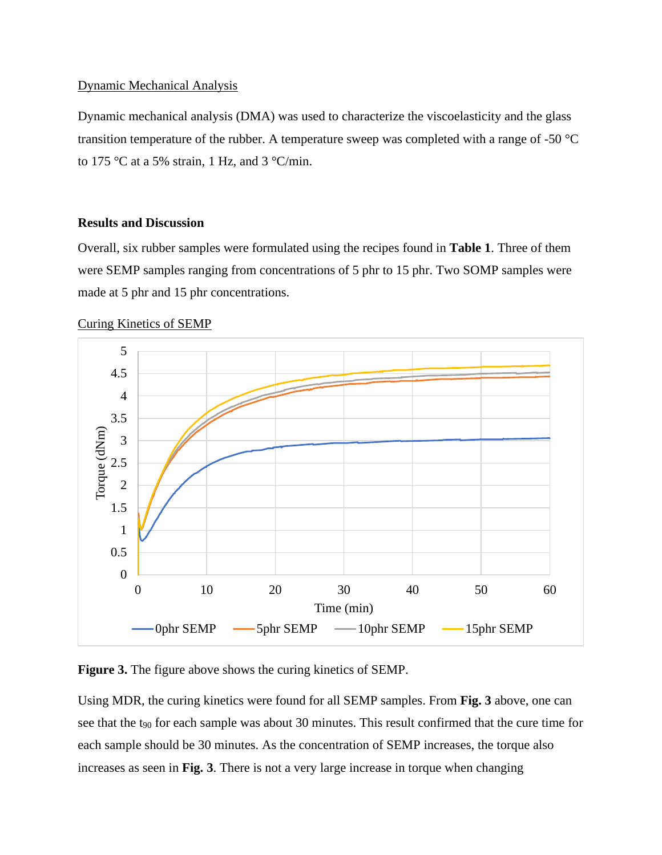## Dynamic Mechanical Analysis

Dynamic mechanical analysis (DMA) was used to characterize the viscoelasticity and the glass transition temperature of the rubber. A temperature sweep was completed with a range of -50 °C to 175 °C at a 5% strain, 1 Hz, and 3 °C/min.

## **Results and Discussion**

Overall, six rubber samples were formulated using the recipes found in **Table 1**. Three of them were SEMP samples ranging from concentrations of 5 phr to 15 phr. Two SOMP samples were made at 5 phr and 15 phr concentrations.



## Curing Kinetics of SEMP

**Figure 3.** The figure above shows the curing kinetics of SEMP.

Using MDR, the curing kinetics were found for all SEMP samples. From **Fig. 3** above, one can see that the t<sub>90</sub> for each sample was about 30 minutes. This result confirmed that the cure time for each sample should be 30 minutes. As the concentration of SEMP increases, the torque also increases as seen in **Fig. 3**. There is not a very large increase in torque when changing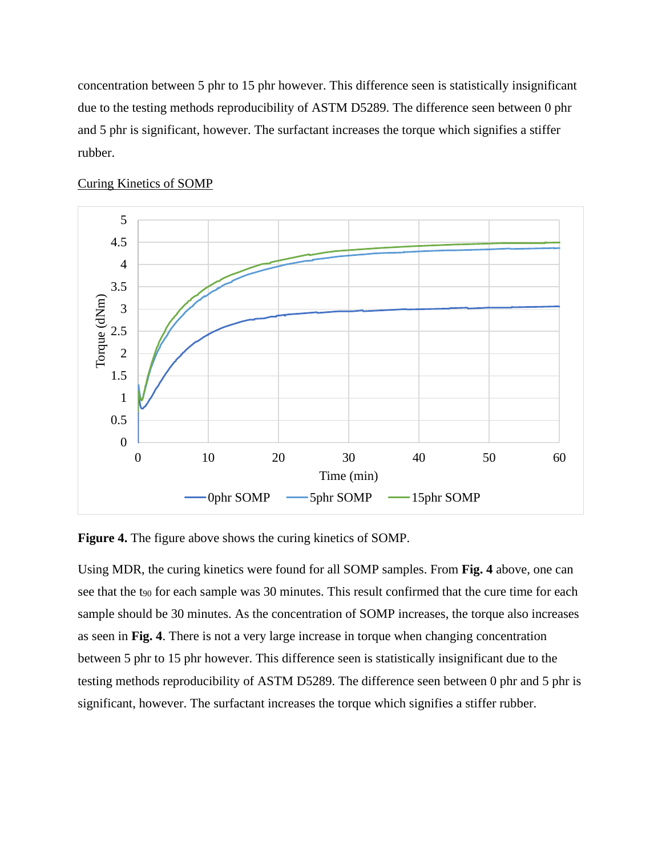concentration between 5 phr to 15 phr however. This difference seen is statistically insignificant due to the testing methods reproducibility of ASTM D5289. The difference seen between 0 phr and 5 phr is significant, however. The surfactant increases the torque which signifies a stiffer rubber.



#### Curing Kinetics of SOMP

**Figure 4.** The figure above shows the curing kinetics of SOMP.

Using MDR, the curing kinetics were found for all SOMP samples. From **Fig. 4** above, one can see that the t<sub>90</sub> for each sample was 30 minutes. This result confirmed that the cure time for each sample should be 30 minutes. As the concentration of SOMP increases, the torque also increases as seen in **Fig. 4**. There is not a very large increase in torque when changing concentration between 5 phr to 15 phr however. This difference seen is statistically insignificant due to the testing methods reproducibility of ASTM D5289. The difference seen between 0 phr and 5 phr is significant, however. The surfactant increases the torque which signifies a stiffer rubber.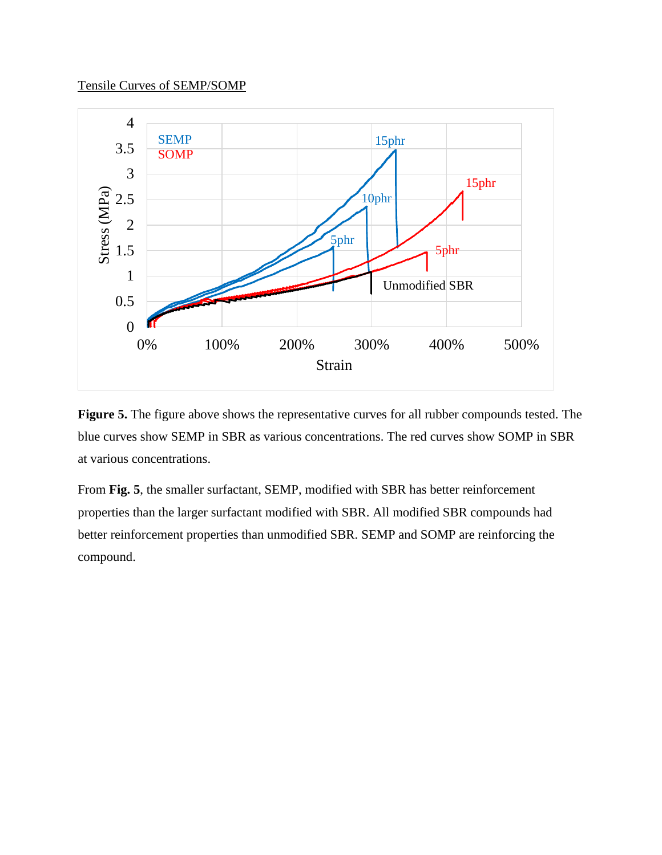# Tensile Curves of SEMP/SOMP



**Figure 5.** The figure above shows the representative curves for all rubber compounds tested. The blue curves show SEMP in SBR as various concentrations. The red curves show SOMP in SBR at various concentrations.

From **Fig. 5**, the smaller surfactant, SEMP, modified with SBR has better reinforcement properties than the larger surfactant modified with SBR. All modified SBR compounds had better reinforcement properties than unmodified SBR. SEMP and SOMP are reinforcing the compound.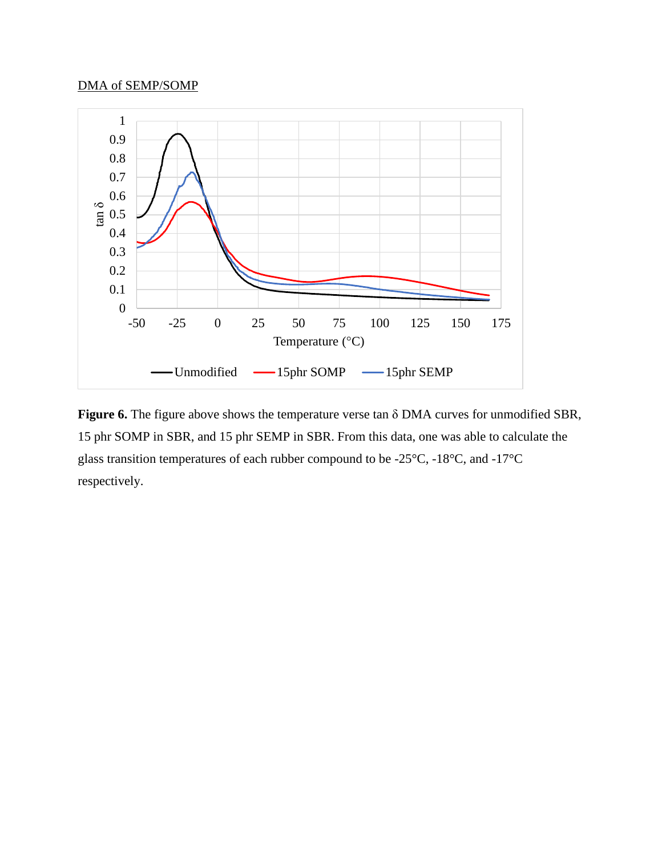## DMA of SEMP/SOMP



**Figure 6.** The figure above shows the temperature verse tan δ DMA curves for unmodified SBR, 15 phr SOMP in SBR, and 15 phr SEMP in SBR. From this data, one was able to calculate the glass transition temperatures of each rubber compound to be -25°C, -18°C, and -17°C respectively.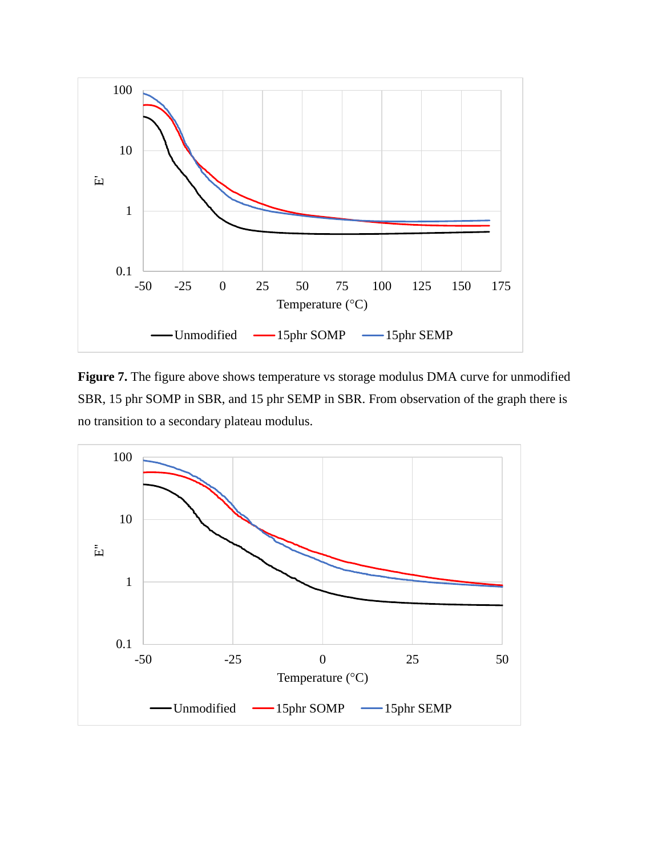

Figure 7. The figure above shows temperature vs storage modulus DMA curve for unmodified SBR, 15 phr SOMP in SBR, and 15 phr SEMP in SBR. From observation of the graph there is no transition to a secondary plateau modulus.

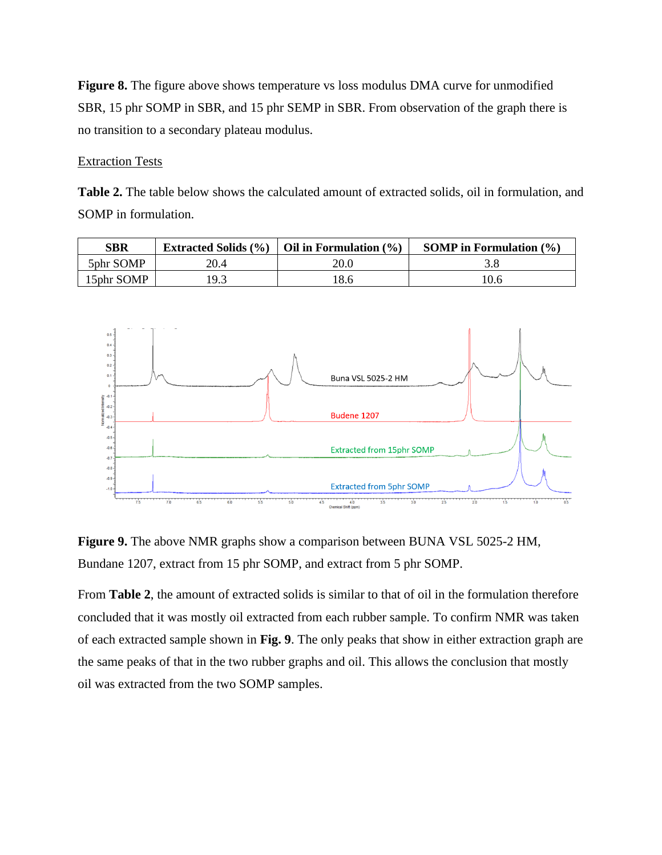**Figure 8.** The figure above shows temperature vs loss modulus DMA curve for unmodified SBR, 15 phr SOMP in SBR, and 15 phr SEMP in SBR. From observation of the graph there is no transition to a secondary plateau modulus.

## Extraction Tests

Table 2. The table below shows the calculated amount of extracted solids, oil in formulation, and SOMP in formulation.

| SBR        |      | Extracted Solids $(\% )$   Oil in Formulation $(\% )$ | SOMP in Formulation $(\% )$ |
|------------|------|-------------------------------------------------------|-----------------------------|
| 5phr SOMP  | 20.4 | 20.0                                                  |                             |
| 15phr SOMP | 19.3 | 8.6                                                   | 10.6                        |



**Figure 9.** The above NMR graphs show a comparison between BUNA VSL 5025-2 HM, Bundane 1207, extract from 15 phr SOMP, and extract from 5 phr SOMP.

From **Table 2**, the amount of extracted solids is similar to that of oil in the formulation therefore concluded that it was mostly oil extracted from each rubber sample. To confirm NMR was taken of each extracted sample shown in **Fig. 9**. The only peaks that show in either extraction graph are the same peaks of that in the two rubber graphs and oil. This allows the conclusion that mostly oil was extracted from the two SOMP samples.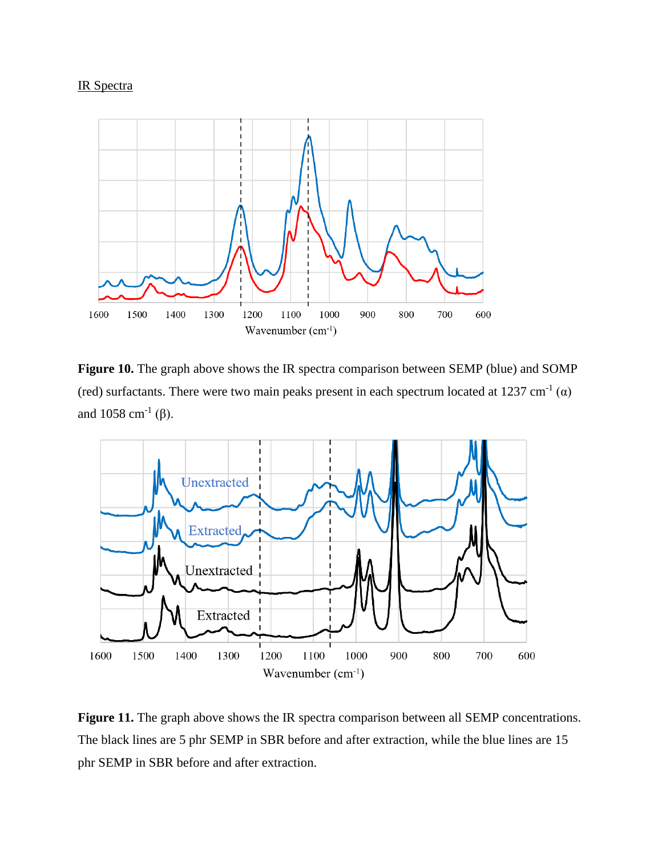# IR Spectra



**Figure 10.** The graph above shows the IR spectra comparison between SEMP (blue) and SOMP (red) surfactants. There were two main peaks present in each spectrum located at 1237 cm<sup>-1</sup> ( $\alpha$ ) and 1058 cm<sup>-1</sup> ( $\beta$ ).



Figure 11. The graph above shows the IR spectra comparison between all SEMP concentrations. The black lines are 5 phr SEMP in SBR before and after extraction, while the blue lines are 15 phr SEMP in SBR before and after extraction.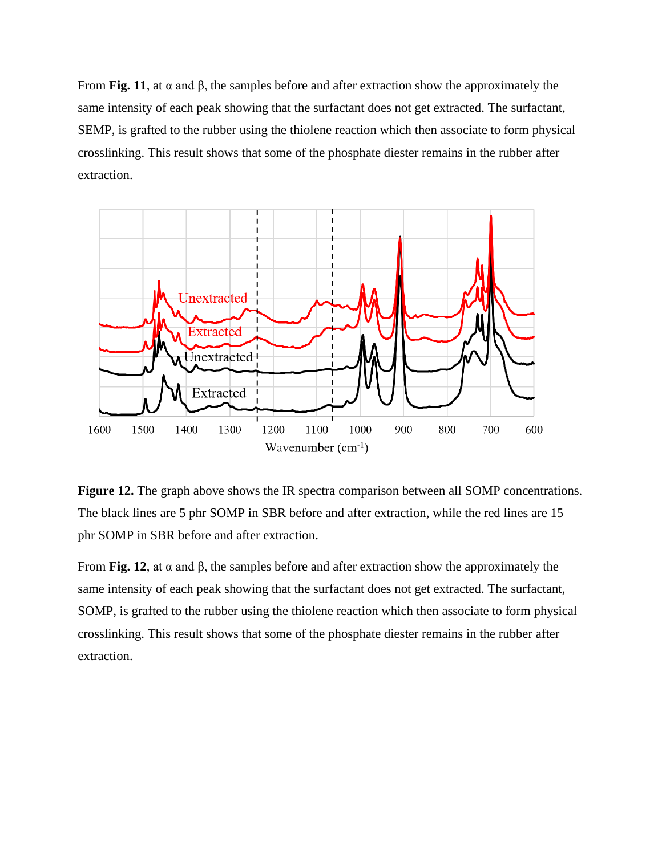From **Fig. 11**, at α and β, the samples before and after extraction show the approximately the same intensity of each peak showing that the surfactant does not get extracted. The surfactant, SEMP, is grafted to the rubber using the thiolene reaction which then associate to form physical crosslinking. This result shows that some of the phosphate diester remains in the rubber after extraction.



**Figure 12.** The graph above shows the IR spectra comparison between all SOMP concentrations. The black lines are 5 phr SOMP in SBR before and after extraction, while the red lines are 15 phr SOMP in SBR before and after extraction.

From **Fig. 12**, at α and β, the samples before and after extraction show the approximately the same intensity of each peak showing that the surfactant does not get extracted. The surfactant, SOMP, is grafted to the rubber using the thiolene reaction which then associate to form physical crosslinking. This result shows that some of the phosphate diester remains in the rubber after extraction.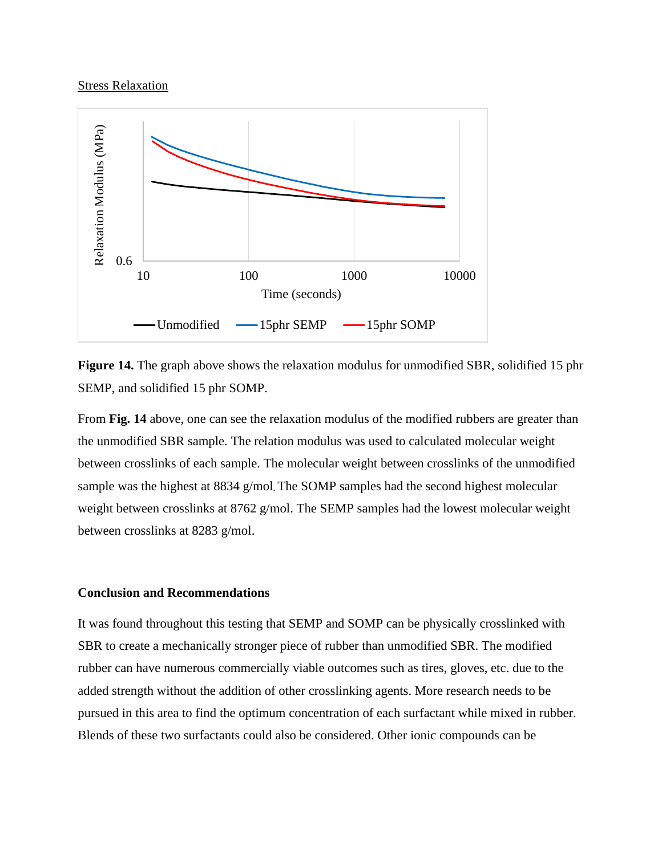### **Stress Relaxation**



**Figure 14.** The graph above shows the relaxation modulus for unmodified SBR, solidified 15 phr SEMP, and solidified 15 phr SOMP.

From **Fig. 14** above, one can see the relaxation modulus of the modified rubbers are greater than the unmodified SBR sample. The relation modulus was used to calculated molecular weight between crosslinks of each sample. The molecular weight between crosslinks of the unmodified sample was the highest at 8834 g/mol. The SOMP samples had the second highest molecular weight between crosslinks at 8762 g/mol. The SEMP samples had the lowest molecular weight between crosslinks at 8283 g/mol.

#### **Conclusion and Recommendations**

It was found throughout this testing that SEMP and SOMP can be physically crosslinked with SBR to create a mechanically stronger piece of rubber than unmodified SBR. The modified rubber can have numerous commercially viable outcomes such as tires, gloves, etc. due to the added strength without the addition of other crosslinking agents. More research needs to be pursued in this area to find the optimum concentration of each surfactant while mixed in rubber. Blends of these two surfactants could also be considered. Other ionic compounds can be